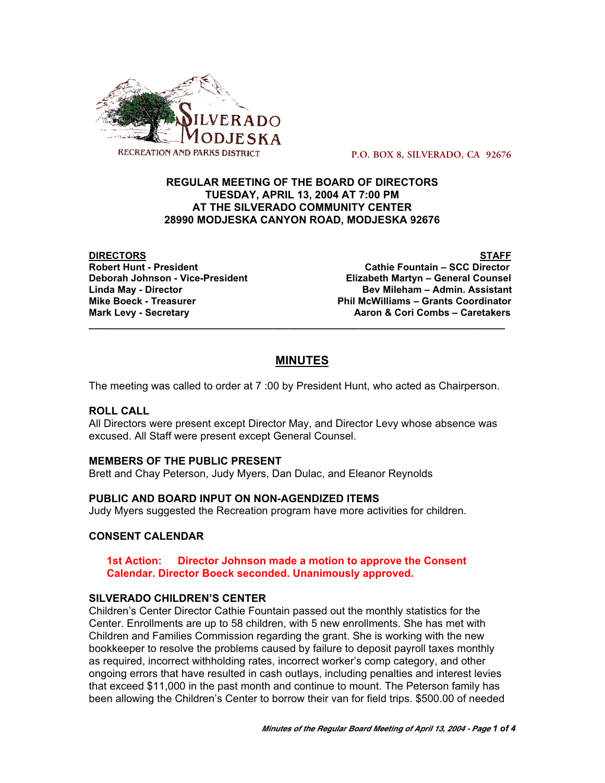

 **P.O. BOX 8, SILVERADO, CA 92676**

## **REGULAR MEETING OF THE BOARD OF DIRECTORS TUESDAY, APRIL 13, 2004 AT 7:00 PM AT THE SILVERADO COMMUNITY CENTER 28990 MODJESKA CANYON ROAD, MODJESKA 92676**

**DIRECTORS STAFF**

**Robert Hunt - President Cathie Fountain – SCC Director Elizabeth Martyn – General Counsel Linda May - Director Bev Mileham – Admin. Assistant Mike Boeck - Treasurer Phil McWilliams – Grants Coordinator Mark Levy - Secretary Combs – Caretakers** Aaron & Cori Combs – Caretakers

# **MINUTES**

**\_\_\_\_\_\_\_\_\_\_\_\_\_\_\_\_\_\_\_\_\_\_\_\_\_\_\_\_\_\_\_\_\_\_\_\_\_\_\_\_\_\_\_\_\_\_\_\_\_\_\_\_\_\_\_\_\_\_\_\_\_\_\_\_\_\_\_\_\_\_\_\_\_\_\_\_\_**

The meeting was called to order at 7 :00 by President Hunt, who acted as Chairperson.

# **ROLL CALL**

All Directors were present except Director May, and Director Levy whose absence was excused. All Staff were present except General Counsel.

# **MEMBERS OF THE PUBLIC PRESENT**

Brett and Chay Peterson, Judy Myers, Dan Dulac, and Eleanor Reynolds

#### **PUBLIC AND BOARD INPUT ON NON-AGENDIZED ITEMS**

Judy Myers suggested the Recreation program have more activities for children.

#### **CONSENT CALENDAR**

**1st Action: Director Johnson made a motion to approve the Consent Calendar. Director Boeck seconded. Unanimously approved.**

#### **SILVERADO CHILDREN'S CENTER**

Children's Center Director Cathie Fountain passed out the monthly statistics for the Center. Enrollments are up to 58 children, with 5 new enrollments. She has met with Children and Families Commission regarding the grant. She is working with the new bookkeeper to resolve the problems caused by failure to deposit payroll taxes monthly as required, incorrect withholding rates, incorrect worker's comp category, and other ongoing errors that have resulted in cash outlays, including penalties and interest levies that exceed \$11,000 in the past month and continue to mount. The Peterson family has been allowing the Children's Center to borrow their van for field trips. \$500.00 of needed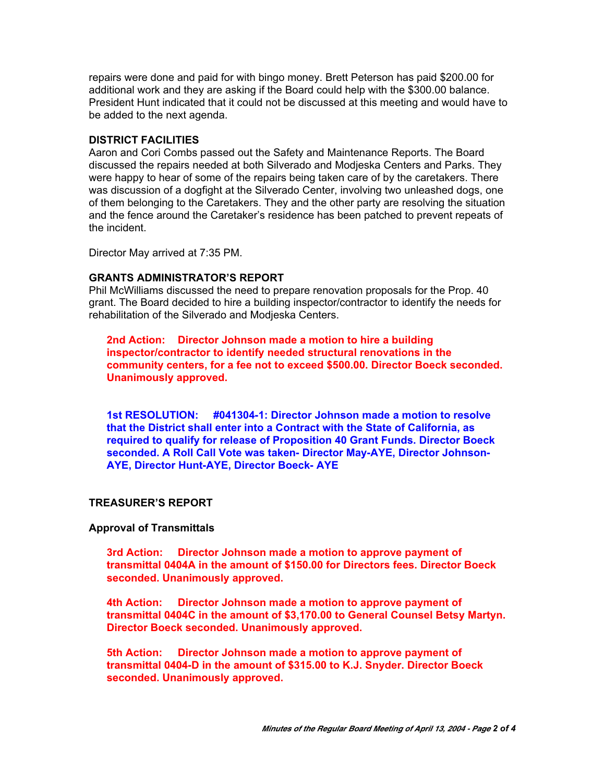repairs were done and paid for with bingo money. Brett Peterson has paid \$200.00 for additional work and they are asking if the Board could help with the \$300.00 balance. President Hunt indicated that it could not be discussed at this meeting and would have to be added to the next agenda.

#### **DISTRICT FACILITIES**

Aaron and Cori Combs passed out the Safety and Maintenance Reports. The Board discussed the repairs needed at both Silverado and Modjeska Centers and Parks. They were happy to hear of some of the repairs being taken care of by the caretakers. There was discussion of a dogfight at the Silverado Center, involving two unleashed dogs, one of them belonging to the Caretakers. They and the other party are resolving the situation and the fence around the Caretaker's residence has been patched to prevent repeats of the incident.

Director May arrived at 7:35 PM.

#### **GRANTS ADMINISTRATOR'S REPORT**

Phil McWilliams discussed the need to prepare renovation proposals for the Prop. 40 grant. The Board decided to hire a building inspector/contractor to identify the needs for rehabilitation of the Silverado and Modjeska Centers.

**2nd Action: Director Johnson made a motion to hire a building inspector/contractor to identify needed structural renovations in the community centers, for a fee not to exceed \$500.00. Director Boeck seconded. Unanimously approved.**

**1st RESOLUTION: #041304-1: Director Johnson made a motion to resolve that the District shall enter into a Contract with the State of California, as required to qualify for release of Proposition 40 Grant Funds. Director Boeck seconded. A Roll Call Vote was taken- Director May-AYE, Director Johnson-AYE, Director Hunt-AYE, Director Boeck- AYE**

#### **TREASURER'S REPORT**

#### **Approval of Transmittals**

**3rd Action: Director Johnson made a motion to approve payment of transmittal 0404A in the amount of \$150.00 for Directors fees. Director Boeck seconded. Unanimously approved.**

**4th Action: Director Johnson made a motion to approve payment of transmittal 0404C in the amount of \$3,170.00 to General Counsel Betsy Martyn. Director Boeck seconded. Unanimously approved.**

**5th Action: Director Johnson made a motion to approve payment of transmittal 0404-D in the amount of \$315.00 to K.J. Snyder. Director Boeck seconded. Unanimously approved.**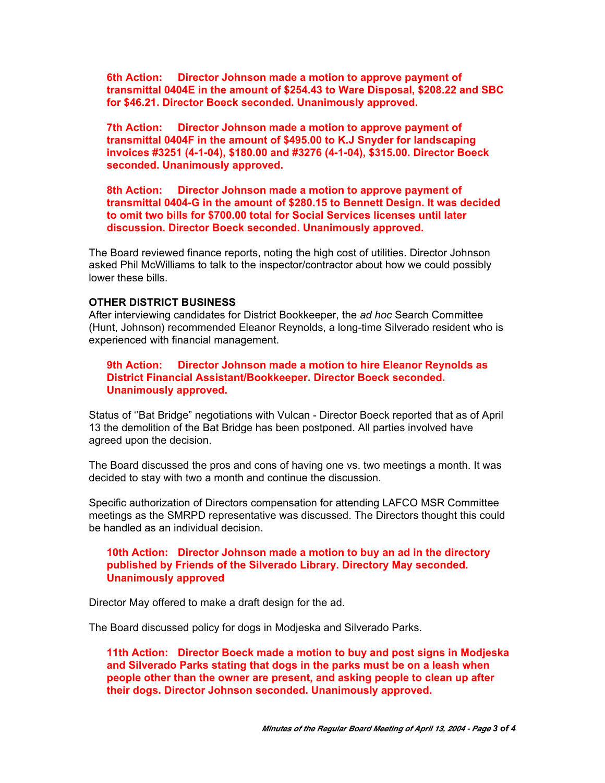**6th Action: Director Johnson made a motion to approve payment of transmittal 0404E in the amount of \$254.43 to Ware Disposal, \$208.22 and SBC for \$46.21. Director Boeck seconded. Unanimously approved.**

**7th Action: Director Johnson made a motion to approve payment of transmittal 0404F in the amount of \$495.00 to K.J Snyder for landscaping invoices #3251 (4-1-04), \$180.00 and #3276 (4-1-04), \$315.00. Director Boeck seconded. Unanimously approved.**

**8th Action: Director Johnson made a motion to approve payment of transmittal 0404-G in the amount of \$280.15 to Bennett Design. It was decided to omit two bills for \$700.00 total for Social Services licenses until later discussion. Director Boeck seconded. Unanimously approved.**

The Board reviewed finance reports, noting the high cost of utilities. Director Johnson asked Phil McWilliams to talk to the inspector/contractor about how we could possibly lower these bills.

#### **OTHER DISTRICT BUSINESS**

After interviewing candidates for District Bookkeeper, the *ad hoc* Search Committee (Hunt, Johnson) recommended Eleanor Reynolds, a long-time Silverado resident who is experienced with financial management.

**9th Action: Director Johnson made a motion to hire Eleanor Reynolds as District Financial Assistant/Bookkeeper. Director Boeck seconded. Unanimously approved.**

Status of ''Bat Bridge" negotiations with Vulcan - Director Boeck reported that as of April 13 the demolition of the Bat Bridge has been postponed. All parties involved have agreed upon the decision.

The Board discussed the pros and cons of having one vs. two meetings a month. It was decided to stay with two a month and continue the discussion.

Specific authorization of Directors compensation for attending LAFCO MSR Committee meetings as the SMRPD representative was discussed. The Directors thought this could be handled as an individual decision.

#### **10th Action: Director Johnson made a motion to buy an ad in the directory published by Friends of the Silverado Library. Directory May seconded. Unanimously approved**

Director May offered to make a draft design for the ad.

The Board discussed policy for dogs in Modjeska and Silverado Parks.

**11th Action: Director Boeck made a motion to buy and post signs in Modjeska and Silverado Parks stating that dogs in the parks must be on a leash when people other than the owner are present, and asking people to clean up after their dogs. Director Johnson seconded. Unanimously approved.**